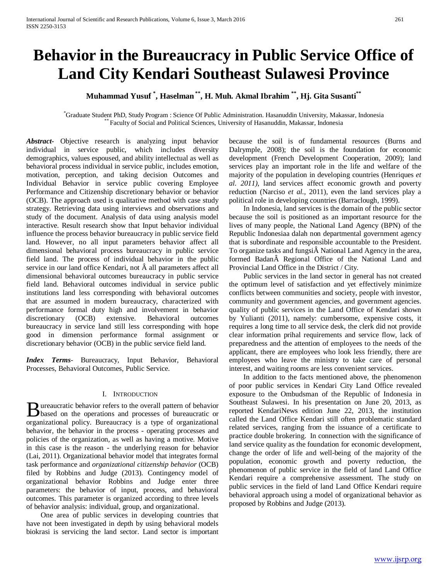# **Behavior in the Bureaucracy in Public Service Office of Land City Kendari Southeast Sulawesi Province**

**Muhammad Yusuf \* , Haselman \*\*, H. Muh. Akmal Ibrahim \*\*, Hj. Gita Susanti\*\***

\* Graduate Student PhD, Study Program : Science Of Public Administration. Hasanuddin University, Makassar, Indonesia \*\* Faculty of Social and Political Sciences, University of Hasanuddin, Makassar, Indonesia

*Abstract***-** Objective research is analyzing input behavior individual in service public, which includes diversity demographics, values espoused, and ability intellectual as well as behavioral process individual in service public, includes emotion, motivation, perception, and taking decision Outcomes and Individual Behavior in service public covering Employee Performance and Citizenship discretionary behavior or behavior (OCB). The approach used is qualitative method with case study strategy. Retrieving data using interviews and observations and study of the document. Analysis of data using analysis model interactive. Result research show that Input behavior individual influence the process behavior bureaucracy in public service field land. However, no all input parameters behavior affect all dimensional behavioral process bureaucracy in public service field land. The process of individual behavior in the public service in our land office Kendari, not  $\hat{A}$  all parameters affect all dimensional behavioral outcomes bureaucracy in public service field land. Behavioral outcomes individual in service public institutions land less corresponding with behavioral outcomes that are assumed in modern bureaucracy, characterized with performance formal duty high and involvement in behavior discretionary (OCB) extensive. Behavioral outcomes bureaucracy in service land still less corresponding with hope good in dimension performance formal assignment or discretionary behavior (OCB) in the public service field land.

*Index Terms*- Bureaucracy, Input Behavior, Behavioral Processes, Behavioral Outcomes, Public Service.

## I. INTRODUCTION

ureaucratic behavior refers to the overall pattern of behavior **B** ureaucratic behavior refers to the overall pattern of behavior based on the operations and processes of bureaucratic or organizational policy. Bureaucracy is a type of organizational behavior, the behavior in the process - operating processes and policies of the organization, as well as having a motive. Motive in this case is the reason - the underlying reason for behavior (Lai, 2011). Organizational behavior model that integrates formal task performance and *organizational citizenship behavior* (OCB) filed by Robbins and Judge (2013). Contingency model of organizational behavior Robbins and Judge enter three parameters: the behavior of input, process, and behavioral outcomes. This parameter is organized according to three levels of behavior analysis: individual, group, and organizational.

 One area of public services in developing countries that have not been investigated in depth by using behavioral models biokrasi is servicing the land sector. Land sector is important because the soil is of fundamental resources (Burns and Dalrymple, 2008); the soil is the foundation for economic development (French Development Cooperation, 2009); land services play an important role in the life and welfare of the majority of the population in developing countries (Henriques *et al. 2011),* land services affect economic growth and poverty reduction (Narciso *et al.,* 2011), even the land services play a political role in developing countries (Barraclough, 1999).

 In Indonesia, land services is the domain of the public sector because the soil is positioned as an important resource for the lives of many people, the National Land Agency (BPN) of the Republic Indonesiaa dalah non departmental government agency that is subordinate and responsible accountable to the President. To organize tasks and fungsi $\hat{A}$  National Land Agency in the area, formed Badan A Regional Office of the National Land and Provincial Land Office in the District / City.

 Public services in the land sector in general has not created the optimum level of satisfaction and yet effectively minimize conflicts between communities and society, people with investor, community and government agencies, and government agencies. quality of public services in the Land Office of Kendari shown by Yulianti (2011), namely: cumbersome, expensive costs, it requires a long time to all service desk, the clerk did not provide clear information prihal requirements and service flow, lack of preparedness and the attention of employees to the needs of the applicant, there are employees who look less friendly, there are employees who leave the ministry to take care of personal interest, and waiting rooms are less convenient services.

 In addition to the facts mentioned above, the phenomenon of poor public services in Kendari City Land Office revealed exposure to the Ombudsman of the Republic of Indonesia in Southeast Sulawesi. In his presentation on June 20, 2013, as reported KendariNews edition June 22, 2013, the institution called the Land Office Kendari still often problematic standard related services, ranging from the issuance of a certificate to practice double brokering. In connection with the significance of land service quality as the foundation for economic development, change the order of life and well-being of the majority of the population, economic growth and poverty reduction, the phenomenon of public service in the field of land Land Office Kendari require a comprehensive assessment. The study on public services in the field of land Land Office Kendari require behavioral approach using a model of organizational behavior as proposed by Robbins and Judge (2013).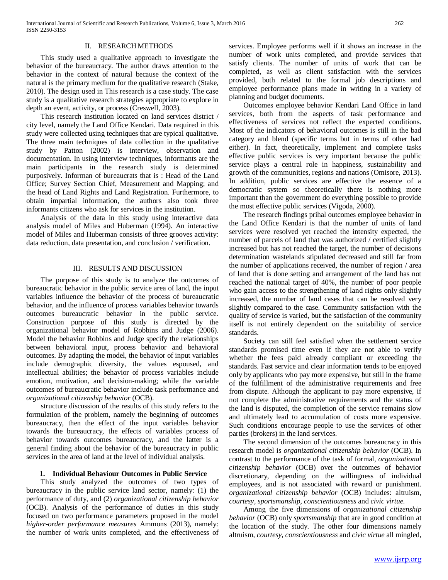## II. RESEARCH METHODS

 This study used a qualitative approach to investigate the behavior of the bureaucracy. The author draws attention to the behavior in the context of natural because the context of the natural is the primary medium for the qualitative research (Stake, 2010). The design used in This research is a case study. The case study is a qualitative research strategies appropriate to explore in depth an event, activity, or process (Creswell, 2003).

 This research institution located on land services district / city level, namely the Land Office Kendari. Data required in this study were collected using techniques that are typical qualitative. The three main techniques of data collection in the qualitative study by Patton (2002) is interview, observation and documentation. In using interview techniques, informants are the main participants in the research study is determined purposively. Informan of bureaucrats that is : Head of the Land Office; Survey Section Chief, Measurement and Mapping; and the head of Land Rights and Land Registration. Furthermore, to obtain impartial information, the authors also took three informants citizens who ask for services in the institution.

 Analysis of the data in this study using interactive data analysis model of Miles and Huberman (1994). An interactive model of Miles and Huberman consists of three grooves activity: data reduction, data presentation, and conclusion / verification.

#### III. RESULTS AND DISCUSSION

 The purpose of this study is to analyze the outcomes of bureaucratic behavior in the public service area of land, the input variables influence the behavior of the process of bureaucratic behavior, and the influence of process variables behavior towards outcomes bureaucratic behavior in the public service. Construction purpose of this study is directed by the organizational behavior model of Robbins and Judge (2006). Model the behavior Robbins and Judge specify the relationships between behavioral input, process behavior and behavioral outcomes. By adapting the model, the behavior of input variables include demographic diversity, the values espoused, and intellectual abilities; the behavior of process variables include emotion, motivation, and decision-making; while the variable outcomes of bureaucratic behavior include task performance and *organizational citizenship behavior* (OCB).

 structure discussion of the results of this study refers to the formulation of the problem, namely the beginning of outcomes bureaucracy, then the effect of the input variables behavior towards the bureaucracy, the effects of variables process of behavior towards outcomes bureaucracy, and the latter is a general finding about the behavior of the bureaucracy in public services in the area of land at the level of individual analysis.

## **1. Individual Behaviour Outcomes in Public Service**

 This study analyzed the outcomes of two types of bureaucracy in the public service land sector, namely: (1) the performance of duty, and (2) *organizational citizenship behavior* (OCB). Analysis of the performance of duties in this study focused on two performance parameters proposed in the model *higher-order performance measures* Ammons (2013), namely: the number of work units completed, and the effectiveness of services. Employee performs well if it shows an increase in the number of work units completed, and provide services that satisfy clients. The number of units of work that can be completed, as well as client satisfaction with the services provided, both related to the formal job descriptions and employee performance plans made in writing in a variety of planning and budget documents.

 Outcomes employee behavior Kendari Land Office in land services, both from the aspects of task performance and effectiveness of services not reflect the expected conditions. Most of the indicators of behavioral outcomes is still in the bad category and blend (specific terms but in terms of other bad either). In fact, theoretically, implement and complete tasks effective public services is very important because the public service plays a central role in happiness, sustainability and growth of the communities, regions and nations (Omisore, 2013). In addition, public services are effective the essence of a democratic system so theoretically there is nothing more important than the government do everything possible to provide the most effective public services (Vigoda, 2000).

 The research findings prihal outcomes employee behavior in the Land Office Kendari is that the number of units of land services were resolved yet reached the intensity expected, the number of parcels of land that was authorized / certified slightly increased but has not reached the target, the number of decisions determination wastelands stipulated decreased and still far from the number of applications received, the number of region / area of land that is done setting and arrangement of the land has not reached the national target of 40%, the number of poor people who gain access to the strengthening of land rights only slightly increased, the number of land cases that can be resolved very slightly compared to the case. Community satisfaction with the quality of service is varied, but the satisfaction of the community itself is not entirely dependent on the suitability of service standards.

 Society can still feel satisfied when the settlement service standards promised time even if they are not able to verify whether the fees paid already compliant or exceeding the standards. Fast service and clear information tends to be enjoyed only by applicants who pay more expensive, but still in the frame of the fulfillment of the administrative requirements and free from dispute. Although the applicant to pay more expensive, if not complete the administrative requirements and the status of the land is disputed, the completion of the service remains slow and ultimately lead to accumulation of costs more expensive. Such conditions encourage people to use the services of other parties (brokers) in the land services.

 The second dimension of the outcomes bureaucracy in this research model is *organizational citizenship behavior* (OCB). In contrast to the performance of the task of formal, *organizational citizenship behavior* (OCB) over the outcomes of behavior discretionary, depending on the willingness of individual employees, and is not associated with reward or punishment. *organizational citizenship behavior* (OCB) includes: altruism, *courtesy, sportsmanship, conscientiousness* and *civic virtue.*

 Among the five dimensions of *organizational citizenship behavior* (OCB) only *sportsmanship* that are in good condition at the location of the study. The other four dimensions namely altruism, *courtesy, conscientiousness* and *civic virtue* all mingled,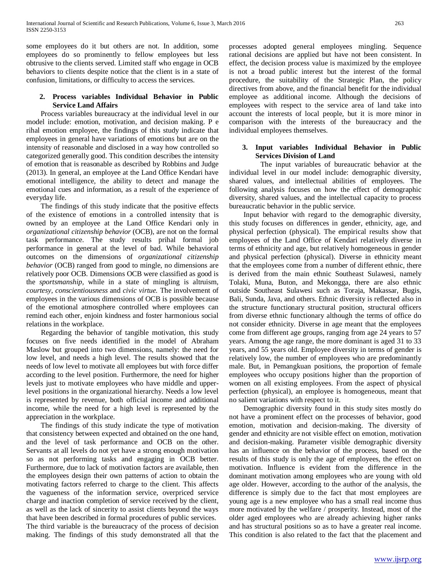some employees do it but others are not. In addition, some employees do so prominently to fellow employees but less obtrusive to the clients served. Limited staff who engage in OCB behaviors to clients despite notice that the client is in a state of confusion, limitations, or difficulty to access the services.

# **2. Process variables Individual Behavior in Public Service Land Affairs**

 Process variables bureaucracy at the individual level in our model include: emotion, motivation, and decision making. P e rihal emotion employee, the findings of this study indicate that employees in general have variations of emotions but are on the intensity of reasonable and disclosed in a way how controlled so categorized generally good. This condition describes the intensity of emotion that is reasonable as described by Robbins and Judge (2013). In general, an employee at the Land Office Kendari have emotional intelligence, the ability to detect and manage the emotional cues and information, as a result of the experience of everyday life.

 The findings of this study indicate that the positive effects of the existence of emotions in a controlled intensity that is owned by an employee at the Land Office Kendari only in *organizational citizenship behavior* (OCB), are not on the formal task performance. The study results prihal formal job performance in general at the level of bad. While behavioral outcomes on the dimensions of *organizational citizenship behavior* (OCB) ranged from good to mingle, no dimensions are relatively poor OCB. Dimensions OCB were classified as good is the *sportsmanship,* while in a state of mingling is altruism, *courtesy, conscientiousness* and *civic virtue.* The involvement of employees in the various dimensions of OCB is possible because of the emotional atmosphere controlled where employees can remind each other, enjoin kindness and foster harmonious social relations in the workplace.

 Regarding the behavior of tangible motivation, this study focuses on five needs identified in the model of Abraham Maslow but grouped into two dimensions, namely: the need for low level, and needs a high level. The results showed that the needs of low level to motivate all employees but with force differ according to the level position. Furthermore, the need for higher levels just to motivate employees who have middle and upperlevel positions in the organizational hierarchy. Needs a low level is represented by revenue, both official income and additional income, while the need for a high level is represented by the appreciation in the workplace.

 The findings of this study indicate the type of motivation that consistency between expected and obtained on the one hand, and the level of task performance and OCB on the other. Servants at all levels do not yet have a strong enough motivation so as not performing tasks and engaging in OCB better. Furthermore, due to lack of motivation factors are available, then the employees design their own patterns of action to obtain the motivating factors referred to charge to the client. This affects the vagueness of the information service, overpriced service charge and inaction completion of service received by the client, as well as the lack of sincerity to assist clients beyond the ways that have been described in formal procedures of public services. The third variable is the bureaucracy of the process of decision making. The findings of this study demonstrated all that the processes adopted general employees mingling. Sequence rational decisions are applied but have not been consistent. In effect, the decision process value is maximized by the employee is not a broad public interest but the interest of the formal procedure, the suitability of the Strategic Plan, the policy directives from above, and the financial benefit for the individual employee as additional income. Although the decisions of employees with respect to the service area of land take into account the interests of local people, but it is more minor in comparison with the interests of the bureaucracy and the individual employees themselves.

# **3. Input variables Individual Behavior in Public Services Division of Land**

 The input variables of bureaucratic behavior at the individual level in our model include: demographic diversity, shared values, and intellectual abilities of employees. The following analysis focuses on how the effect of demographic diversity, shared values, and the intellectual capacity to process bureaucratic behavior in the public service.

 Input behavior with regard to the demographic diversity, this study focuses on differences in gender, ethnicity, age, and physical perfection (physical). The empirical results show that employees of the Land Office of Kendari relatively diverse in terms of ethnicity and age, but relatively homogeneous in gender and physical perfection (physical). Diverse in ethnicity meant that the employees come from a number of different ethnic, there is derived from the main ethnic Southeast Sulawesi, namely Tolaki, Muna, Buton, and Mekongga, there are also ethnic outside Southeast Sulawesi such as Toraja, Makassar, Bugis, Bali, Sunda, Java, and others. Ethnic diversity is reflected also in the structure functionary structural position, structural officers from diverse ethnic functionary although the terms of office do not consider ethnicity. Diverse in age meant that the employees come from different age groups, ranging from age 24 years to 57 years. Among the age range, the more dominant is aged 31 to 33 years, and 55 years old. Employee diversity in terms of gender is relatively low, the number of employees who are predominantly male. But, in Pemangkuan positions, the proportion of female employees who occupy positions higher than the proportion of women on all existing employees. From the aspect of physical perfection (physical), an employee is homogeneous, meant that no salient variations with respect to it.

 Demographic diversity found in this study sites mostly do not have a prominent effect on the processes of behavior, good emotion, motivation and decision-making. The diversity of gender and ethnicity are not visible effect on emotion, motivation and decision-making. Parameter visible demographic diversity has an influence on the behavior of the process, based on the results of this study is only the age of employees, the effect on motivation. Influence is evident from the difference in the dominant motivation among employees who are young with old age older. However, according to the author of the analysis, the difference is simply due to the fact that most employees are young age is a new employee who has a small real income thus more motivated by the welfare / prosperity. Instead, most of the older aged employees who are already achieving higher ranks and has structural positions so as to have a greater real income. This condition is also related to the fact that the placement and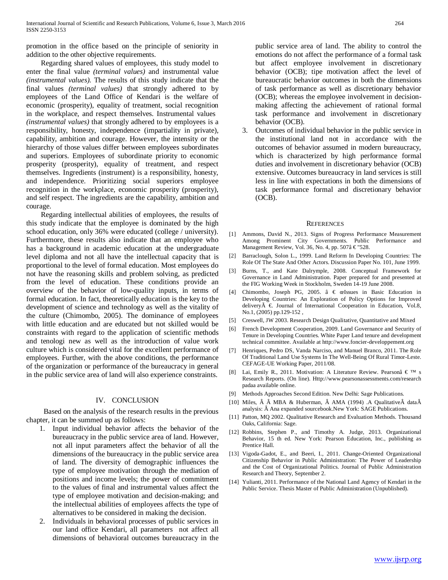promotion in the office based on the principle of seniority in addition to the other objective requirements.

 Regarding shared values of employees, this study model to enter the final value *(terminal values)* and instrumental value *(instrumental values).* The results of this study indicate that the final values *(terminal values)* that strongly adhered to by employees of the Land Office of Kendari is the welfare of economic (prosperity), equality of treatment, social recognition in the workplace, and respect themselves. Instrumental values *(instrumental values)* that strongly adhered to by employees is a responsibility, honesty, independence (impartiality in private), capability, ambition and courage. However, the intensity or the hierarchy of those values differ between employees subordinates and superiors. Employees of subordinate priority to economic prosperity (prosperity), equality of treatment, and respect themselves. Ingredients (instrument) is a responsibility, honesty, and independence. Prioritizing social superiors employee recognition in the workplace, economic prosperity (prosperity), and self respect. The ingredients are the capability, ambition and courage.

 Regarding intellectual abilities of employees, the results of this study indicate that the employee is dominated by the high school education, only 36% were educated (college / university). Furthermore, these results also indicate that an employee who has a background in academic education at the undergraduate level diploma and not all have the intellectual capacity that is proportional to the level of formal education. Most employees do not have the reasoning skills and problem solving, as predicted from the level of education. These conditions provide an overview of the behavior of low-quality inputs, in terms of formal education. In fact, theoretically education is the key to the development of science and technology as well as the vitality of the culture (Chimombo, 2005). The dominance of employees with little education and are educated but not skilled would be constraints with regard to the application of scientific methods and tenologi new as well as the introduction of value work culture which is considered vital for the excellent performance of employees. Further, with the above conditions, the performance of the organization or performance of the bureaucracy in general in the public service area of land will also experience constraints.

## IV. CONCLUSION

 Based on the analysis of the research results in the previous chapter, it can be summed up as follows:

- 1. Input individual behavior affects the behavior of the bureaucracy in the public service area of land. However, not all input parameters affect the behavior of all the dimensions of the bureaucracy in the public service area of land. The diversity of demographic influences the type of employee motivation through the mediation of positions and income levels; the power of commitment to the values of final and instrumental values affect the type of employee motivation and decision-making; and the intellectual abilities of employees affects the type of alternatives to be considered in making the decision.
- 2. Individuals in behavioral processes of public services in our land office Kendari, all parameters not affect all dimensions of behavioral outcomes bureaucracy in the

public service area of land. The ability to control the emotions do not affect the performance of a formal task but affect employee involvement in discretionary behavior (OCB); tipe motivation affect the level of bureaucratic behavior outcomes in both the dimensions of task performance as well as discretionary behavior (OCB); whereas the employee involvement in decisionmaking affecting the achievement of rational formal task performance and involvement in discretionary behavior (OCB).

3. Outcomes of individual behavior in the public service in the institutional land not in accordance with the outcomes of behavior assumed in modern bureaucracy, which is characterized by high performance formal duties and involvement in discretionary behavior (OCB) extensive. Outcomes bureaucracy in land services is still less in line with expectations in both the dimensions of task performance formal and discretionary behavior (OCB).

#### **REFERENCES**

- [1] Ammons, David N., 2013. Signs of Progress Performance Measurement Among Prominent City Governments. Public Performance and Management Review, Vol. 36, No. 4, pp. 507â € "528.
- [2] Barraclough, Solon L., 1999. Land Reform In Developing Countries: The Role Of The State And Other Actors. Discussion Paper No. 101, June 1999.
- [3] Burns, T., and Kate Dalrymple, 2008. Conceptual Framework for Governance in Land Administration. Paper prepared for and presented at the FIG Working Week in Stockholm, Sweden 14-19 June 2008.
- [4] Chimombo, Joseph PG, 2005. â € œIssues in Basic Education in Developing Countries: An Exploration of Policy Options for Improved deliveryà €. Journal of International Cooperation in Education, Vol.8, No.1, (2005) pp.129-152 ,
- [5] Creswell, JW 2003. Research Design Qualitative, Quantitative and Mixed
- [6] French Development Cooperation, 2009. Land Governance and Security of Tenure in Developing Countries. White Paper Land tenure and development technical committee. Available at http://www.foncier-developpement.org
- [7] Henriques, Pedro DS, Vanda Narciso, and Manuel Branco, 2011. The Role Of Traditional Land Use Systems In The Well-Being Of Rural Timor-Leste. CEFAGE-UE Working Paper, 2011/08.
- [8] Lai, Emily R., 2011. Motivation: A Literature Review. Pearsonâ € ™ s Research Reports. (On line). Http://www.pearsonassessments.com/research padaa available online.
- [9] Methods Approaches Second Edition. New Delhi: Sage Publications.
- [10] Miles,  $\hat{A}$   $\hat{A}$  MBA & Huberman,  $\hat{A}$  AMA (1994) .A Qualitative  $\hat{A}$  data $\hat{A}$ analysis: Â Ana expanded sourcebook.New York: SAGE Publications.
- [11] Patton, MQ 2002. Qualitative Research and Evaluation Methods. Thousand Oaks, California: Sage.
- [12] Robbins, Stephen P., and Timothy A. Judge, 2013. Organizational Behavior, 15 th ed. New York: Pearson Education, Inc., publishing as Prentice Hall.
- [13] Vigoda-Gadot, E., and Beeri, I., 2011. Change-Oriented Organizational Citizenship Behavior in Public Administration: The Power of Leadership and the Cost of Organizational Politics. Journal of Public Administration Research and Theory, September 2.
- [14] Yulianti, 2011. Performance of the National Land Agency of Kendari in the Public Service. Thesis Master of Public Administration (Unpublished).